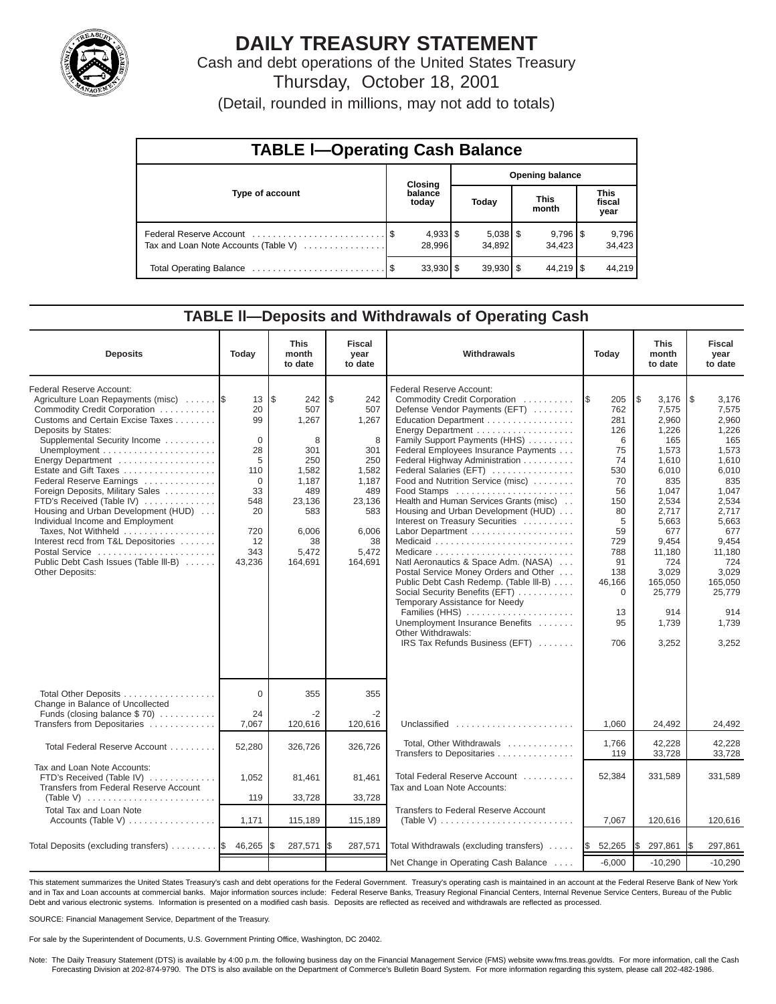

# **DAILY TREASURY STATEMENT**

Cash and debt operations of the United States Treasury Thursday, October 18, 2001

(Detail, rounded in millions, may not add to totals)

| <b>TABLE I-Operating Cash Balance</b> |  |                      |                        |                      |  |                        |  |                               |  |  |
|---------------------------------------|--|----------------------|------------------------|----------------------|--|------------------------|--|-------------------------------|--|--|
|                                       |  | Closing              | <b>Opening balance</b> |                      |  |                        |  |                               |  |  |
| Type of account                       |  | balance<br>today     |                        | Today                |  | <b>This</b><br>month   |  | <b>This</b><br>fiscal<br>year |  |  |
| Tax and Loan Note Accounts (Table V)  |  | $4,933$ \$<br>28.996 |                        | $5,038$ \$<br>34.892 |  | $9,796$ \ \$<br>34.423 |  | 9,796<br>34,423               |  |  |
|                                       |  | $33,930$ \$          |                        | $39,930$ \$          |  | $44,219$ \ \$          |  | 44.219                        |  |  |

### **TABLE ll—Deposits and Withdrawals of Operating Cash**

| <b>Deposits</b>                                                                                                                                                                                                                                                                                                                                                                                                                                                                                                                                                    | Today                                                                                                            | <b>This</b><br>month<br>to date                                                                                            | <b>Fiscal</b><br>year<br>to date                                                                                          | Withdrawals<br>Today                                                                                                                                                                                                                                                                                                                                                                                                                                                                                                                                                                                                                                                                                                                                             |                                                                                                                                                                 | <b>This</b><br>month<br>to date                                                                                                                                                                             | <b>Fiscal</b><br>year<br>to date                                                                                                                                                                             |
|--------------------------------------------------------------------------------------------------------------------------------------------------------------------------------------------------------------------------------------------------------------------------------------------------------------------------------------------------------------------------------------------------------------------------------------------------------------------------------------------------------------------------------------------------------------------|------------------------------------------------------------------------------------------------------------------|----------------------------------------------------------------------------------------------------------------------------|---------------------------------------------------------------------------------------------------------------------------|------------------------------------------------------------------------------------------------------------------------------------------------------------------------------------------------------------------------------------------------------------------------------------------------------------------------------------------------------------------------------------------------------------------------------------------------------------------------------------------------------------------------------------------------------------------------------------------------------------------------------------------------------------------------------------------------------------------------------------------------------------------|-----------------------------------------------------------------------------------------------------------------------------------------------------------------|-------------------------------------------------------------------------------------------------------------------------------------------------------------------------------------------------------------|--------------------------------------------------------------------------------------------------------------------------------------------------------------------------------------------------------------|
| Federal Reserve Account:<br>Agriculture Loan Repayments (misc)<br>Commodity Credit Corporation<br>Customs and Certain Excise Taxes<br>Deposits by States:<br>Supplemental Security Income<br>Energy Department<br>Estate and Gift Taxes<br>Federal Reserve Earnings<br>Foreign Deposits, Military Sales<br>FTD's Received (Table IV)<br>Housing and Urban Development (HUD)<br>Individual Income and Employment<br>Taxes. Not Withheld<br>Interest recd from T&L Depositories<br>Postal Service<br>Public Debt Cash Issues (Table III-B)<br><b>Other Deposits:</b> | 13<br>20<br>99<br>$\mathbf{0}$<br>28<br>5<br>110<br>$\mathbf 0$<br>33<br>548<br>20<br>720<br>12<br>343<br>43,236 | l\$<br>242<br>507<br>1,267<br>8<br>301<br>250<br>1,582<br>1,187<br>489<br>23,136<br>583<br>6,006<br>38<br>5,472<br>164,691 | \$<br>242<br>507<br>1,267<br>8<br>301<br>250<br>1,582<br>1.187<br>489<br>23,136<br>583<br>6,006<br>38<br>5.472<br>164,691 | Federal Reserve Account:<br>Commodity Credit Corporation<br>Defense Vendor Payments (EFT)<br>Education Department<br>Energy Department<br>Family Support Payments (HHS)<br>Federal Employees Insurance Payments<br>Federal Highway Administration<br>Federal Salaries (EFT)<br>Food and Nutrition Service (misc)<br>Food Stamps<br>Health and Human Services Grants (misc)<br>Housing and Urban Development (HUD)<br>Interest on Treasury Securities<br>Natl Aeronautics & Space Adm. (NASA)<br>Postal Service Money Orders and Other<br>Public Debt Cash Redemp. (Table III-B)<br>Social Security Benefits (EFT)<br>Temporary Assistance for Needy<br>Families (HHS)<br>Unemployment Insurance Benefits<br>Other Withdrawals:<br>IRS Tax Refunds Business (EFT) | 205<br>I\$<br>762<br>281<br>126<br>6<br>75<br>74<br>530<br>70<br>56<br>150<br>80<br>5<br>59<br>729<br>788<br>91<br>138<br>46,166<br>$\Omega$<br>13<br>95<br>706 | \$<br>3,176<br>7,575<br>2,960<br>1,226<br>165<br>1,573<br>1,610<br>6,010<br>835<br>1.047<br>2.534<br>2.717<br>5,663<br>677<br>9.454<br>11.180<br>724<br>3,029<br>165,050<br>25,779<br>914<br>1,739<br>3,252 | l\$<br>3,176<br>7,575<br>2,960<br>1,226<br>165<br>1,573<br>1,610<br>6,010<br>835<br>1.047<br>2.534<br>2.717<br>5,663<br>677<br>9.454<br>11,180<br>724<br>3.029<br>165.050<br>25,779<br>914<br>1,739<br>3,252 |
| Total Other Deposits<br>Change in Balance of Uncollected<br>Funds (closing balance $$70$ )                                                                                                                                                                                                                                                                                                                                                                                                                                                                         | $\Omega$<br>24                                                                                                   | 355<br>$-2$                                                                                                                | 355<br>$-2$                                                                                                               |                                                                                                                                                                                                                                                                                                                                                                                                                                                                                                                                                                                                                                                                                                                                                                  |                                                                                                                                                                 |                                                                                                                                                                                                             |                                                                                                                                                                                                              |
| Transfers from Depositaries                                                                                                                                                                                                                                                                                                                                                                                                                                                                                                                                        | 7,067                                                                                                            | 120,616                                                                                                                    | 120,616                                                                                                                   | Unclassified                                                                                                                                                                                                                                                                                                                                                                                                                                                                                                                                                                                                                                                                                                                                                     | 1,060                                                                                                                                                           | 24,492                                                                                                                                                                                                      | 24,492                                                                                                                                                                                                       |
| Total Federal Reserve Account                                                                                                                                                                                                                                                                                                                                                                                                                                                                                                                                      | 52,280                                                                                                           | 326,726                                                                                                                    | 326,726                                                                                                                   | Total. Other Withdrawals<br>Transfers to Depositaries                                                                                                                                                                                                                                                                                                                                                                                                                                                                                                                                                                                                                                                                                                            | 1,766<br>119                                                                                                                                                    | 42.228<br>33,728                                                                                                                                                                                            | 42.228<br>33.728                                                                                                                                                                                             |
| Tax and Loan Note Accounts:<br>FTD's Received (Table IV)<br>Transfers from Federal Reserve Account                                                                                                                                                                                                                                                                                                                                                                                                                                                                 | 1,052                                                                                                            | 81,461                                                                                                                     | 81.461                                                                                                                    | Total Federal Reserve Account<br>Tax and Loan Note Accounts:                                                                                                                                                                                                                                                                                                                                                                                                                                                                                                                                                                                                                                                                                                     | 52,384                                                                                                                                                          | 331,589                                                                                                                                                                                                     | 331,589                                                                                                                                                                                                      |
| (Table V) $\ldots \ldots \ldots \ldots \ldots \ldots \ldots \ldots$<br>Total Tax and Loan Note                                                                                                                                                                                                                                                                                                                                                                                                                                                                     | 119                                                                                                              | 33,728                                                                                                                     | 33,728                                                                                                                    | Transfers to Federal Reserve Account                                                                                                                                                                                                                                                                                                                                                                                                                                                                                                                                                                                                                                                                                                                             |                                                                                                                                                                 |                                                                                                                                                                                                             |                                                                                                                                                                                                              |
| Accounts (Table V)                                                                                                                                                                                                                                                                                                                                                                                                                                                                                                                                                 | 1,171                                                                                                            | 115,189                                                                                                                    | 115,189                                                                                                                   | (Table V) $\ldots \ldots \ldots \ldots \ldots \ldots \ldots \ldots$                                                                                                                                                                                                                                                                                                                                                                                                                                                                                                                                                                                                                                                                                              | 7,067                                                                                                                                                           | 120,616                                                                                                                                                                                                     | 120,616                                                                                                                                                                                                      |
| Total Deposits (excluding transfers) $\ldots \ldots \ldots$                                                                                                                                                                                                                                                                                                                                                                                                                                                                                                        | 46,265                                                                                                           | 287,571                                                                                                                    | <b>IS</b><br>287,571                                                                                                      | Total Withdrawals (excluding transfers)                                                                                                                                                                                                                                                                                                                                                                                                                                                                                                                                                                                                                                                                                                                          | 52,265<br><b>1\$</b>                                                                                                                                            | l\$<br>297,861                                                                                                                                                                                              | 297,861<br>1\$                                                                                                                                                                                               |
|                                                                                                                                                                                                                                                                                                                                                                                                                                                                                                                                                                    |                                                                                                                  |                                                                                                                            |                                                                                                                           | Net Change in Operating Cash Balance                                                                                                                                                                                                                                                                                                                                                                                                                                                                                                                                                                                                                                                                                                                             | $-6,000$                                                                                                                                                        | $-10,290$                                                                                                                                                                                                   | $-10,290$                                                                                                                                                                                                    |

This statement summarizes the United States Treasury's cash and debt operations for the Federal Government. Treasury's operating cash is maintained in an account at the Federal Reserve Bank of New York and in Tax and Loan accounts at commercial banks. Major information sources include: Federal Reserve Banks, Treasury Regional Financial Centers, Internal Revenue Service Centers, Bureau of the Public Debt and various electronic systems. Information is presented on a modified cash basis. Deposits are reflected as received and withdrawals are reflected as processed.

SOURCE: Financial Management Service, Department of the Treasury.

For sale by the Superintendent of Documents, U.S. Government Printing Office, Washington, DC 20402.

Note: The Daily Treasury Statement (DTS) is available by 4:00 p.m. the following business day on the Financial Management Service (FMS) website www.fms.treas.gov/dts. For more information, call the Cash Forecasting Division at 202-874-9790. The DTS is also available on the Department of Commerce's Bulletin Board System. For more information regarding this system, please call 202-482-1986.